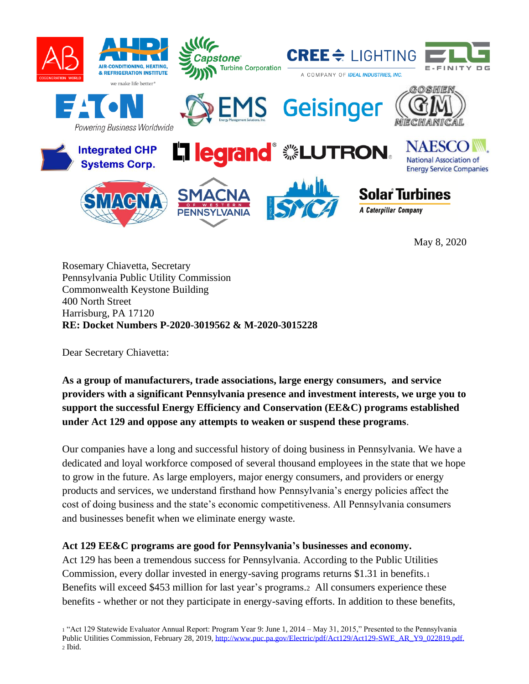

**DG** Y

Rosemary Chiavetta, Secretary Pennsylvania Public Utility Commission Commonwealth Keystone Building 400 North Street Harrisburg, PA 17120 **RE: Docket Numbers P-2020-3019562 & M-2020-3015228**

Dear Secretary Chiavetta:

**As a group of manufacturers, trade associations, large energy consumers, and service providers with a significant Pennsylvania presence and investment interests, we urge you to support the successful Energy Efficiency and Conservation (EE&C) programs established under Act 129 and oppose any attempts to weaken or suspend these programs**.

Our companies have a long and successful history of doing business in Pennsylvania. We have a dedicated and loyal workforce composed of several thousand employees in the state that we hope to grow in the future. As large employers, major energy consumers, and providers or energy products and services, we understand firsthand how Pennsylvania's energy policies affect the cost of doing business and the state's economic competitiveness. All Pennsylvania consumers and businesses benefit when we eliminate energy waste.

## **Act 129 EE&C programs are good for Pennsylvania's businesses and economy.**

Act 129 has been a tremendous success for Pennsylvania. According to the Public Utilities Commission, every dollar invested in energy-saving programs returns \$1.31 in benefits.<sup>1</sup> Benefits will exceed \$453 million for last year's programs.<sup>2</sup> All consumers experience these benefits - whether or not they participate in energy-saving efforts. In addition to these benefits,